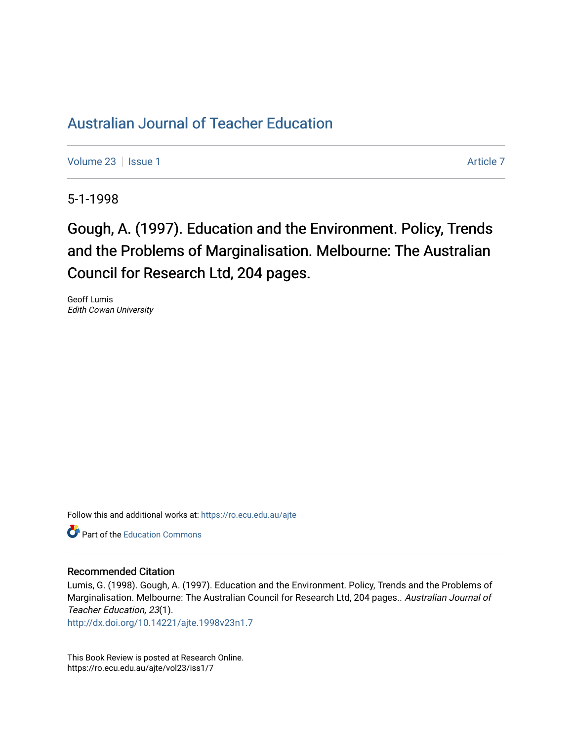# [Australian Journal of Teacher Education](https://ro.ecu.edu.au/ajte)

[Volume 23](https://ro.ecu.edu.au/ajte/vol23) | [Issue 1](https://ro.ecu.edu.au/ajte/vol23/iss1) [Article 7](https://ro.ecu.edu.au/ajte/vol23/iss1/7) Article 7 Article 7 Article 7 Article 7 Article 7 Article 7

5-1-1998

Gough, A. (1997). Education and the Environment. Policy, Trends and the Problems of Marginalisation. Melbourne: The Australian Council for Research Ltd, 204 pages.

Geoff Lumis Edith Cowan University

Follow this and additional works at: [https://ro.ecu.edu.au/ajte](https://ro.ecu.edu.au/ajte?utm_source=ro.ecu.edu.au%2Fajte%2Fvol23%2Fiss1%2F7&utm_medium=PDF&utm_campaign=PDFCoverPages) 

**Part of the Education Commons** 

# Recommended Citation

Lumis, G. (1998). Gough, A. (1997). Education and the Environment. Policy, Trends and the Problems of Marginalisation. Melbourne: The Australian Council for Research Ltd, 204 pages.. Australian Journal of Teacher Education, 23(1).

<http://dx.doi.org/10.14221/ajte.1998v23n1.7>

This Book Review is posted at Research Online. https://ro.ecu.edu.au/ajte/vol23/iss1/7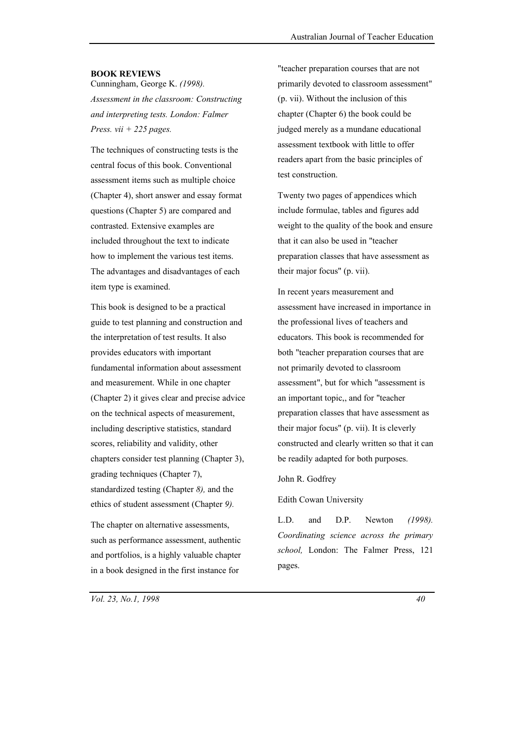#### **BOOK REVIEWS**

Cunningham, George K. *(1998). Assessment in the classroom: Constructing and interpreting tests. London: Falmer Press. vii + 225 pages.*

The techniques of constructing tests is the central focus of this book. Conventional assessment items such as multiple choice (Chapter 4), short answer and essay format questions (Chapter 5) are compared and contrasted. Extensive examples are included throughout the text to indicate how to implement the various test items. The advantages and disadvantages of each item type is examined.

This book is designed to be a practical guide to test planning and construction and the interpretation of test results. It also provides educators with important fundamental information about assessment and measurement. While in one chapter (Chapter 2) it gives clear and precise advice on the technical aspects of measurement, including descriptive statistics, standard scores, reliability and validity, other chapters consider test planning (Chapter 3), grading techniques (Chapter 7), standardized testing (Chapter *8),* and the ethics of student assessment (Chapter *9).*

The chapter on alternative assessments, such as performance assessment, authentic and portfolios, is a highly valuable chapter in a book designed in the first instance for

"teacher preparation courses that are not primarily devoted to classroom assessment" (p. vii). Without the inclusion of this chapter (Chapter 6) the book could be judged merely as a mundane educational assessment textbook with little to offer readers apart from the basic principles of test construction.

Twenty two pages of appendices which include formulae, tables and figures add weight to the quality of the book and ensure that it can also be used in "teacher preparation classes that have assessment as their major focus" (p. vii).

In recent years measurement and assessment have increased in importance in the professional lives of teachers and educators. This book is recommended for both "teacher preparation courses that are not primarily devoted to classroom assessment", but for which "assessment is an important topic,, and for "teacher preparation classes that have assessment as their major focus" (p. vii). It is cleverly constructed and clearly written so that it can be readily adapted for both purposes.

#### John R. Godfrey

Edith Cowan University

L.D. and D.P. Newton *(1998). Coordinating science across the primary school,* London: The Falmer Press, 121 pages.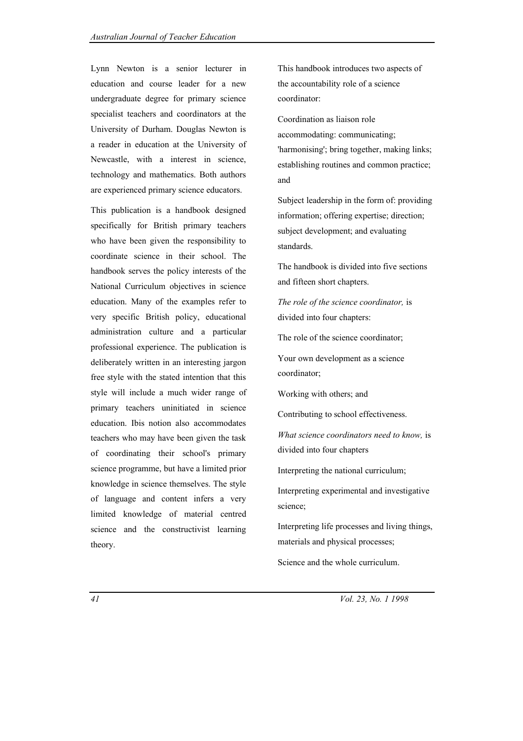Lynn Newton is a senior lecturer in education and course leader for a new undergraduate degree for primary science specialist teachers and coordinators at the University of Durham. Douglas Newton is a reader in education at the University of Newcastle, with a interest in science, technology and mathematics. Both authors are experienced primary science educators.

This publication is a handbook designed specifically for British primary teachers who have been given the responsibility to coordinate science in their school. The handbook serves the policy interests of the National Curriculum objectives in science education. Many of the examples refer to very specific British policy, educational administration culture and a particular professional experience. The publication is deliberately written in an interesting jargon free style with the stated intention that this style will include a much wider range of primary teachers uninitiated in science education. Ibis notion also accommodates teachers who may have been given the task of coordinating their school's primary science programme, but have a limited prior knowledge in science themselves. The style of language and content infers a very limited knowledge of material centred science and the constructivist learning theory.

This handbook introduces two aspects of the accountability role of a science coordinator:

Coordination as liaison role accommodating: communicating; 'harmonising'; bring together, making links; establishing routines and common practice; and

Subject leadership in the form of: providing information; offering expertise; direction; subject development; and evaluating standards.

The handbook is divided into five sections and fifteen short chapters.

*The role of the science coordinator,* is divided into four chapters:

The role of the science coordinator;

Your own development as a science coordinator;

Working with others; and

Contributing to school effectiveness.

*What science coordinators need to know,* is divided into four chapters

Interpreting the national curriculum;

Interpreting experimental and investigative science;

Interpreting life processes and living things, materials and physical processes;

Science and the whole curriculum.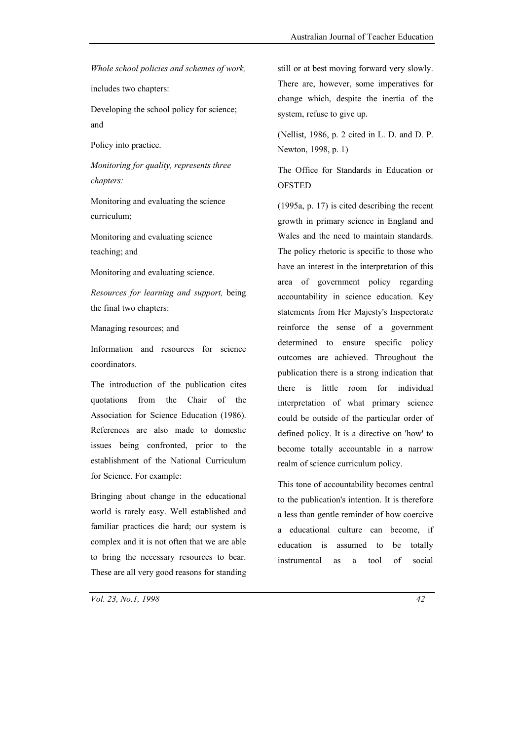*Whole school policies and schemes of work,*

includes two chapters:

Developing the school policy for science; and

Policy into practice.

*Monitoring for quality, represents three chapters:*

Monitoring and evaluating the science curriculum;

Monitoring and evaluating science teaching; and

Monitoring and evaluating science.

*Resources for learning and support,* being the final two chapters:

Managing resources; and

Information and resources for science coordinators.

The introduction of the publication cites quotations from the Chair of the Association for Science Education (1986). References are also made to domestic issues being confronted, prior to the establishment of the National Curriculum for Science. For example:

Bringing about change in the educational world is rarely easy. Well established and familiar practices die hard; our system is complex and it is not often that we are able to bring the necessary resources to bear. These are all very good reasons for standing

still or at best moving forward very slowly. There are, however, some imperatives for change which, despite the inertia of the system, refuse to give up.

(Nellist, 1986, p. 2 cited in L. D. and D. P. Newton, 1998, p. 1)

The Office for Standards in Education or **OFSTED** 

(1995a, p. 17) is cited describing the recent growth in primary science in England and Wales and the need to maintain standards. The policy rhetoric is specific to those who have an interest in the interpretation of this area of government policy regarding accountability in science education. Key statements from Her Majesty's Inspectorate reinforce the sense of a government determined to ensure specific policy outcomes are achieved. Throughout the publication there is a strong indication that there is little room for individual interpretation of what primary science could be outside of the particular order of defined policy. It is a directive on 'how' to become totally accountable in a narrow realm of science curriculum policy.

This tone of accountability becomes central to the publication's intention. It is therefore a less than gentle reminder of how coercive a educational culture can become, if education is assumed to be totally instrumental as a tool of social

*Vol. 23, No.1, 1998 42*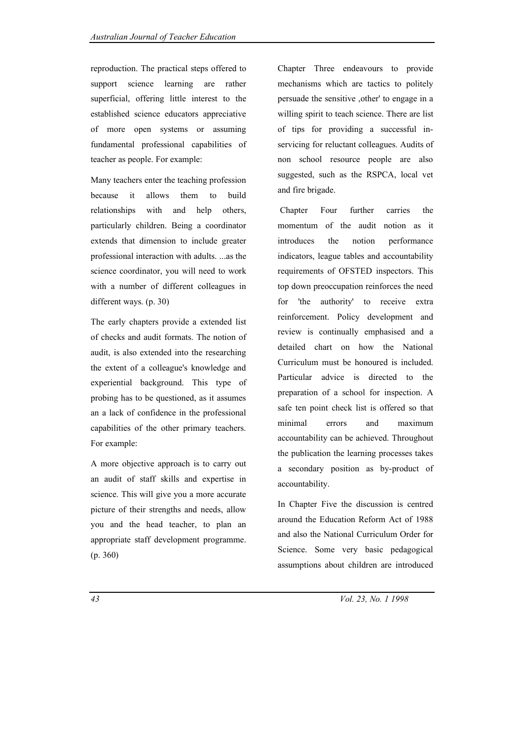reproduction. The practical steps offered to support science learning are rather superficial, offering little interest to the established science educators appreciative of more open systems or assuming fundamental professional capabilities of teacher as people. For example:

Many teachers enter the teaching profession because it allows them to build relationships with and help others particularly children. Being a coordinator extends that dimension to include greater professional interaction with adults. ...as the science coordinator, you will need to work with a number of different colleagues in different ways. (p. 30)

The early chapters provide a extended list of checks and audit formats. The notion of audit, is also extended into the researching the extent of a colleague's knowledge and experiential background. This type of probing has to be questioned, as it assumes an a lack of confidence in the professional capabilities of the other primary teachers. For example:

A more objective approach is to carry out an audit of staff skills and expertise in science. This will give you a more accurate picture of their strengths and needs, allow you and the head teacher, to plan an appropriate staff development programme. (p. 360)

Chapter Three endeavours to provide mechanisms which are tactics to politely persuade the sensitive ,other' to engage in a willing spirit to teach science. There are list of tips for providing a successful inservicing for reluctant colleagues. Audits of non school resource people are also suggested, such as the RSPCA, local vet and fire brigade.

Chapter Four further carries the momentum of the audit notion as it introduces the notion performance indicators, league tables and accountability requirements of OFSTED inspectors. This top down preoccupation reinforces the need for 'the authority' to receive extra reinforcement. Policy development and review is continually emphasised and a detailed chart on how the National Curriculum must be honoured is included. Particular advice is directed to the preparation of a school for inspection. A safe ten point check list is offered so that minimal errors and maximum accountability can be achieved. Throughout the publication the learning processes takes a secondary position as by-product of accountability.

In Chapter Five the discussion is centred around the Education Reform Act of 1988 and also the National Curriculum Order for Science. Some very basic pedagogical assumptions about children are introduced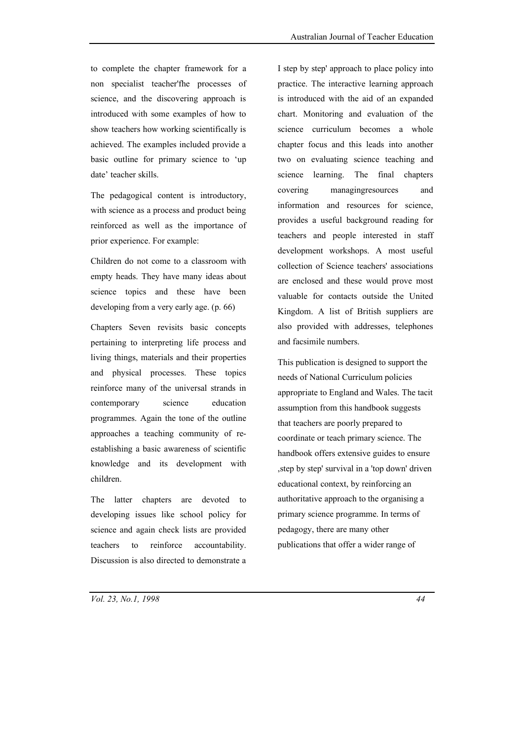to complete the chapter framework for a non specialist teacher'fhe processes of science, and the discovering approach is introduced with some examples of how to show teachers how working scientifically is achieved. The examples included provide a basic outline for primary science to 'up date' teacher skills.

The pedagogical content is introductory, with science as a process and product being reinforced as well as the importance of prior experience. For example:

Children do not come to a classroom with empty heads. They have many ideas about science topics and these have been developing from a very early age. (p. 66)

Chapters Seven revisits basic concepts pertaining to interpreting life process and living things, materials and their properties and physical processes. These topics reinforce many of the universal strands in contemporary science education programmes. Again the tone of the outline approaches a teaching community of reestablishing a basic awareness of scientific knowledge and its development with children.

The latter chapters are devoted to developing issues like school policy for science and again check lists are provided teachers to reinforce accountability. Discussion is also directed to demonstrate a

I step by step' approach to place policy into practice. The interactive learning approach is introduced with the aid of an expanded chart. Monitoring and evaluation of the science curriculum becomes a whole chapter focus and this leads into another two on evaluating science teaching and science learning. The final chapters covering managingresources and information and resources for science, provides a useful background reading for teachers and people interested in staff development workshops. A most useful collection of Science teachers' associations are enclosed and these would prove most valuable for contacts outside the United Kingdom. A list of British suppliers are also provided with addresses, telephones and facsimile numbers.

This publication is designed to support the needs of National Curriculum policies appropriate to England and Wales. The tacit assumption from this handbook suggests that teachers are poorly prepared to coordinate or teach primary science. The handbook offers extensive guides to ensure ,step by step' survival in a 'top down' driven educational context, by reinforcing an authoritative approach to the organising a primary science programme. In terms of pedagogy, there are many other publications that offer a wider range of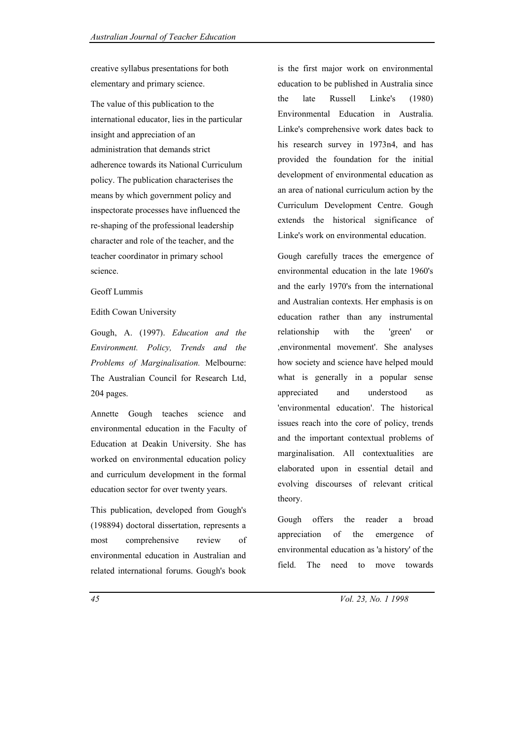creative syllabus presentations for both elementary and primary science.

The value of this publication to the international educator, lies in the particular insight and appreciation of an administration that demands strict adherence towards its National Curriculum policy. The publication characterises the means by which government policy and inspectorate processes have influenced the re-shaping of the professional leadership character and role of the teacher, and the teacher coordinator in primary school science.

## Geoff Lummis

### Edith Cowan University

Gough, A. (1997). *Education and the Environment. Policy, Trends and the Problems of Marginalisation.* Melbourne: The Australian Council for Research Ltd, 204 pages.

Annette Gough teaches science and environmental education in the Faculty of Education at Deakin University. She has worked on environmental education policy and curriculum development in the formal education sector for over twenty years.

This publication, developed from Gough's (198894) doctoral dissertation, represents a most comprehensive review of environmental education in Australian and related international forums. Gough's book is the first major work on environmental education to be published in Australia since the late Russell Linke's (1980) Environmental Education in Australia. Linke's comprehensive work dates back to his research survey in 1973n4, and has provided the foundation for the initial development of environmental education as an area of national curriculum action by the Curriculum Development Centre. Gough extends the historical significance of Linke's work on environmental education.

Gough carefully traces the emergence of environmental education in the late 1960's and the early 1970's from the international and Australian contexts. Her emphasis is on education rather than any instrumental relationship with the 'green' or ,environmental movement'. She analyses how society and science have helped mould what is generally in a popular sense appreciated and understood as 'environmental education'. The historical issues reach into the core of policy, trends and the important contextual problems of marginalisation. All contextualities are elaborated upon in essential detail and evolving discourses of relevant critical theory.

Gough offers the reader a broad appreciation of the emergence of environmental education as 'a history' of the field. The need to move towards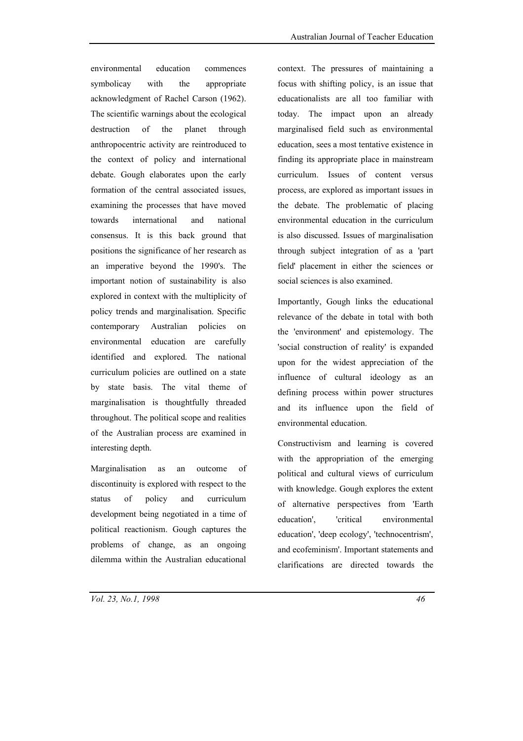environmental education commences symbolicay with the appropriate acknowledgment of Rachel Carson (1962). The scientific warnings about the ecological destruction of the planet through anthropocentric activity are reintroduced to the context of policy and international debate. Gough elaborates upon the early formation of the central associated issues, examining the processes that have moved towards international and national consensus. It is this back ground that positions the significance of her research as an imperative beyond the 1990's. The important notion of sustainability is also explored in context with the multiplicity of policy trends and marginalisation. Specific contemporary Australian policies on environmental education are carefully identified and explored. The national curriculum policies are outlined on a state by state basis. The vital theme of marginalisation is thoughtfully threaded throughout. The political scope and realities of the Australian process are examined in interesting depth.

Marginalisation as an outcome of discontinuity is explored with respect to the status of policy and curriculum development being negotiated in a time of political reactionism. Gough captures the problems of change, as an ongoing dilemma within the Australian educational

context. The pressures of maintaining a focus with shifting policy, is an issue that educationalists are all too familiar with today. The impact upon an already marginalised field such as environmental education, sees a most tentative existence in finding its appropriate place in mainstream curriculum. Issues of content versus process, are explored as important issues in the debate. The problematic of placing environmental education in the curriculum is also discussed. Issues of marginalisation through subject integration of as a 'part field' placement in either the sciences or social sciences is also examined.

Importantly, Gough links the educational relevance of the debate in total with both the 'environment' and epistemology. The 'social construction of reality' is expanded upon for the widest appreciation of the influence of cultural ideology as an defining process within power structures and its influence upon the field of environmental education.

Constructivism and learning is covered with the appropriation of the emerging political and cultural views of curriculum with knowledge. Gough explores the extent of alternative perspectives from 'Earth education', 'critical environmental education', 'deep ecology', 'technocentrism', and ecofeminism'. Important statements and clarifications are directed towards the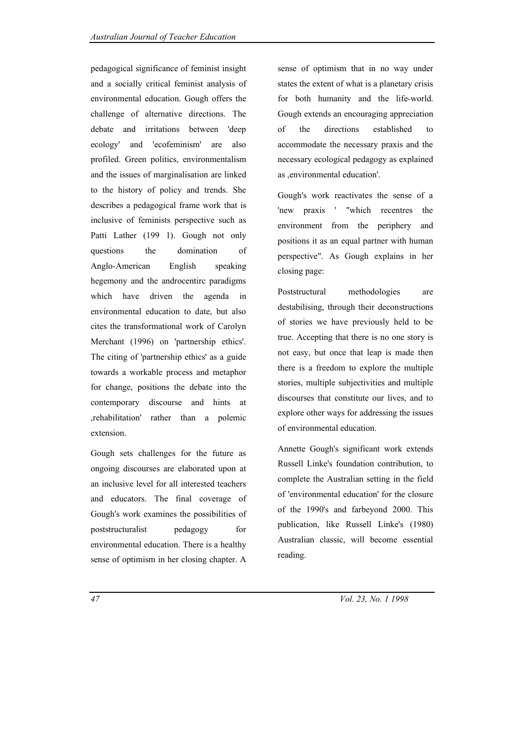pedagogical significance of feminist insight and a socially critical feminist analysis of environmental education. Gough offers the challenge of alternative directions. The debate and irritations between 'deep ecology' and 'ecofeminism' are also profiled. Green politics, environmentalism and the issues of marginalisation are linked to the history of policy and trends. She describes a pedagogical frame work that is inclusive of feminists perspective such as Patti Lather (199 1). Gough not only questions the domination of Anglo-American English speaking hegemony and the androcentirc paradigms which have driven the agenda in environmental education to date, but also cites the transformational work of Carolyn Merchant (1996) on 'partnership ethics'. The citing of 'partnership ethics' as a guide towards a workable process and metaphor for change, positions the debate into the contemporary discourse and hints at ,rehabilitation' rather than a polemic extension.

Gough sets challenges for the future as ongoing discourses are elaborated upon at an inclusive level for all interested teachers and educators. The final coverage of Gough's work examines the possibilities of poststructuralist pedagogy for environmental education. There is a healthy sense of optimism in her closing chapter. A

sense of optimism that in no way under states the extent of what is a planetary crisis for both humanity and the life-world. Gough extends an encouraging appreciation of the directions established to accommodate the necessary praxis and the necessary ecological pedagogy as explained as ,environmental education'.

Gough's work reactivates the sense of a 'new praxis ' "which recentres the environment from the periphery and positions it as an equal partner with human perspective". As Gough explains in her closing page:

Poststructural methodologies are destabilising, through their deconstructions of stories we have previously held to be true. Accepting that there is no one story is not easy, but once that leap is made then there is a freedom to explore the multiple stories, multiple subjectivities and multiple discourses that constitute our lives, and to explore other ways for addressing the issues of environmental education.

Annette Gough's significant work extends Russell Linke's foundation contribution, to complete the Australian setting in the field of 'environmental education' for the closure of the 1990's and farbeyond 2000. This publication, like Russell Linke's (1980) Australian classic, will become essential reading.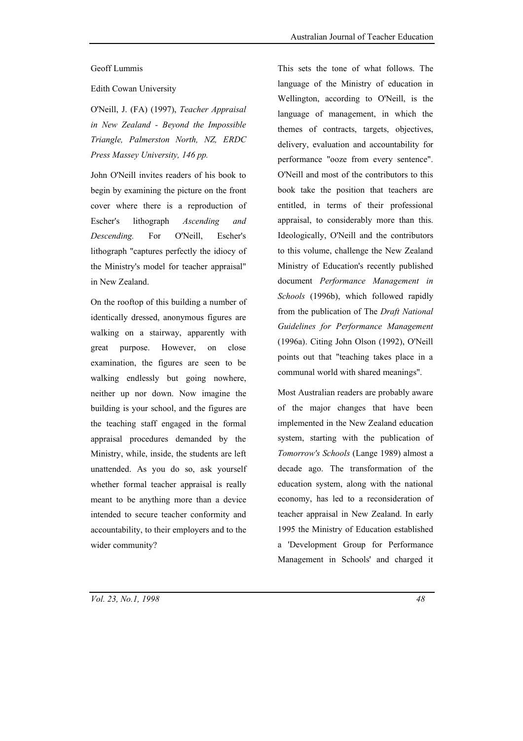#### Geoff Lummis

Edith Cowan University

O'Neill, J. (FA) (1997), *Teacher Appraisal in New Zealand - Beyond the Impossible Triangle, Palmerston North, NZ, ERDC Press Massey University, 146 pp.*

John O'Neill invites readers of his book to begin by examining the picture on the front cover where there is a reproduction of Escher's lithograph *Ascending and Descending.* For O'Neill, Escher's lithograph "captures perfectly the idiocy of the Ministry's model for teacher appraisal" in New Zealand.

On the rooftop of this building a number of identically dressed, anonymous figures are walking on a stairway, apparently with great purpose. However, on close examination, the figures are seen to be walking endlessly but going nowhere, neither up nor down. Now imagine the building is your school, and the figures are the teaching staff engaged in the formal appraisal procedures demanded by the Ministry, while, inside, the students are left unattended. As you do so, ask yourself whether formal teacher appraisal is really meant to be anything more than a device intended to secure teacher conformity and accountability, to their employers and to the wider community?

This sets the tone of what follows. The language of the Ministry of education in Wellington, according to O'Neill, is the language of management, in which the themes of contracts, targets, objectives, delivery, evaluation and accountability for performance "ooze from every sentence". O'Neill and most of the contributors to this book take the position that teachers are entitled, in terms of their professional appraisal, to considerably more than this. Ideologically, O'Neill and the contributors to this volume, challenge the New Zealand Ministry of Education's recently published document *Performance Management in Schools* (1996b), which followed rapidly from the publication of The *Draft National Guidelines for Performance Management* (1996a). Citing John Olson (1992), O'Neill points out that "teaching takes place in a communal world with shared meanings".

Most Australian readers are probably aware of the major changes that have been implemented in the New Zealand education system, starting with the publication of *Tomorrow's Schools* (Lange 1989) almost a decade ago. The transformation of the education system, along with the national economy, has led to a reconsideration of teacher appraisal in New Zealand. In early 1995 the Ministry of Education established a 'Development Group for Performance Management in Schools' and charged it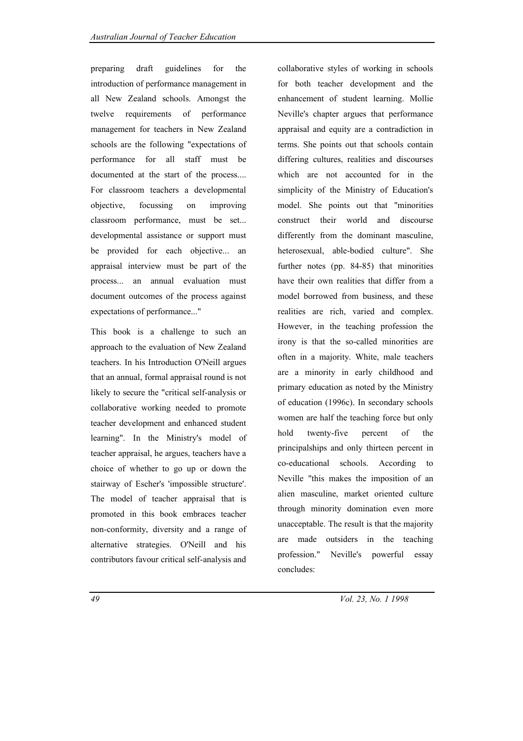preparing draft guidelines for the introduction of performance management in all New Zealand schools. Amongst the twelve requirements of performance management for teachers in New Zealand schools are the following "expectations of performance for all staff must be documented at the start of the process.... For classroom teachers a developmental objective, focussing on improving classroom performance, must be set... developmental assistance or support must be provided for each objective... an appraisal interview must be part of the process... an annual evaluation must document outcomes of the process against expectations of performance..."

This book is a challenge to such an approach to the evaluation of New Zealand teachers. In his Introduction O'Neill argues that an annual, formal appraisal round is not likely to secure the "critical self-analysis or collaborative working needed to promote teacher development and enhanced student learning". In the Ministry's model of teacher appraisal, he argues, teachers have a choice of whether to go up or down the stairway of Escher's 'impossible structure'. The model of teacher appraisal that is promoted in this book embraces teacher non-conformity, diversity and a range of alternative strategies. O'Neill and his contributors favour critical self-analysis and

collaborative styles of working in schools for both teacher development and the enhancement of student learning. Mollie Neville's chapter argues that performance appraisal and equity are a contradiction in terms. She points out that schools contain differing cultures, realities and discourses which are not accounted for in the simplicity of the Ministry of Education's model. She points out that "minorities construct their world and discourse differently from the dominant masculine, heterosexual, able-bodied culture". She further notes (pp. 84-85) that minorities have their own realities that differ from a model borrowed from business, and these realities are rich, varied and complex. However, in the teaching profession the irony is that the so-called minorities are often in a majority. White, male teachers are a minority in early childhood and primary education as noted by the Ministry of education (1996c). In secondary schools women are half the teaching force but only hold twenty-five percent of the principalships and only thirteen percent in co-educational schools. According to Neville "this makes the imposition of an alien masculine, market oriented culture through minority domination even more unacceptable. The result is that the majority are made outsiders in the teaching profession." Neville's powerful essay concludes: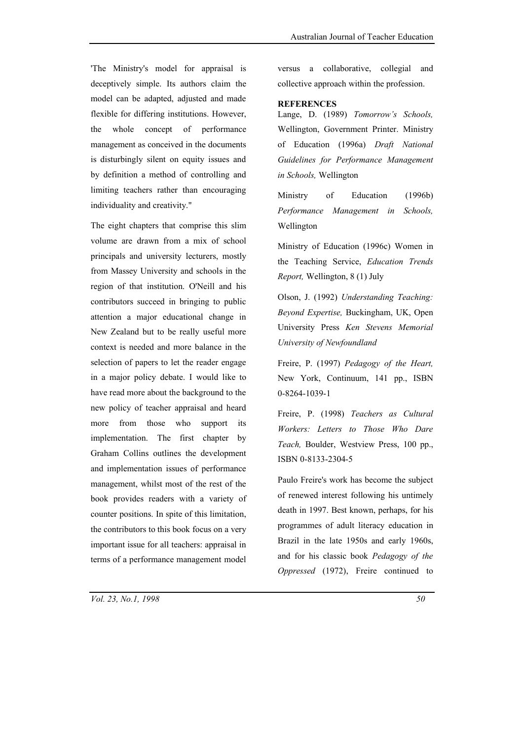'The Ministry's model for appraisal is deceptively simple. Its authors claim the model can be adapted, adjusted and made flexible for differing institutions. However, the whole concept of performance management as conceived in the documents is disturbingly silent on equity issues and by definition a method of controlling and limiting teachers rather than encouraging individuality and creativity."

The eight chapters that comprise this slim volume are drawn from a mix of school principals and university lecturers, mostly from Massey University and schools in the region of that institution. O'Neill and his contributors succeed in bringing to public attention a major educational change in New Zealand but to be really useful more context is needed and more balance in the selection of papers to let the reader engage in a major policy debate. I would like to have read more about the background to the new policy of teacher appraisal and heard more from those who support its implementation. The first chapter by Graham Collins outlines the development and implementation issues of performance management, whilst most of the rest of the book provides readers with a variety of counter positions. In spite of this limitation, the contributors to this book focus on a very important issue for all teachers: appraisal in terms of a performance management model versus a collaborative, collegial and collective approach within the profession.

## **REFERENCES**

Lange, D. (1989) *Tomorrow's Schools,* Wellington, Government Printer. Ministry of Education (1996a) *Draft National Guidelines for Performance Management in Schools,* Wellington

Ministry of Education (1996b) *Performance Management in Schools,* Wellington

Ministry of Education (1996c) Women in the Teaching Service, *Education Trends Report,* Wellington, 8 (1) July

Olson, J. (1992) *Understanding Teaching: Beyond Expertise,* Buckingham, UK, Open University Press *Ken Stevens Memorial University of Newfoundland*

Freire, P. (1997) *Pedagogy of the Heart,* New York, Continuum, 141 pp., ISBN 0-8264-1039-1

Freire, P. (1998) *Teachers as Cultural Workers: Letters to Those Who Dare Teach,* Boulder, Westview Press, 100 pp., ISBN 0-8133-2304-5

Paulo Freire's work has become the subject of renewed interest following his untimely death in 1997. Best known, perhaps, for his programmes of adult literacy education in Brazil in the late 1950s and early 1960s, and for his classic book *Pedagogy of the Oppressed* (1972), Freire continued to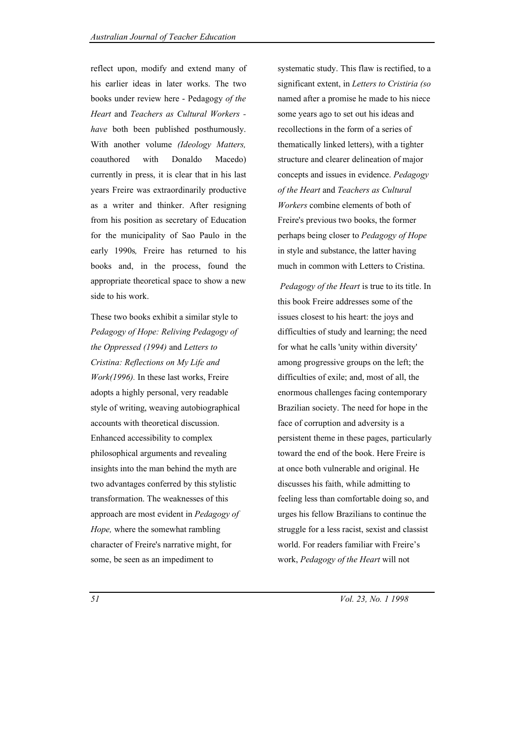reflect upon, modify and extend many of his earlier ideas in later works. The two books under review here - Pedagogy *of the Heart* and *Teachers as Cultural Workers have* both been published posthumously. With another volume *(Ideology Matters,* coauthored with Donaldo Macedo) currently in press, it is clear that in his last years Freire was extraordinarily productive as a writer and thinker. After resigning from his position as secretary of Education for the municipality of Sao Paulo in the early 1990s*,* Freire has returned to his books and, in the process, found the appropriate theoretical space to show a new side to his work.

These two books exhibit a similar style to *Pedagogy of Hope: Reliving Pedagogy of the Oppressed (1994)* and *Letters to Cristina: Reflections on My Life and Work(1996).* In these last works, Freire adopts a highly personal, very readable style of writing, weaving autobiographical accounts with theoretical discussion. Enhanced accessibility to complex philosophical arguments and revealing insights into the man behind the myth are two advantages conferred by this stylistic transformation. The weaknesses of this approach are most evident in *Pedagogy of Hope,* where the somewhat rambling character of Freire's narrative might, for some, be seen as an impediment to

systematic study. This flaw is rectified, to a significant extent, in *Letters to Cristiria (so*  named after a promise he made to his niece some years ago to set out his ideas and recollections in the form of a series of thematically linked letters), with a tighter structure and clearer delineation of major concepts and issues in evidence. *Pedagogy of the Heart* and *Teachers as Cultural Workers* combine elements of both of Freire's previous two books, the former perhaps being closer to *Pedagogy of Hope* in style and substance, the latter having much in common with Letters to Cristina.

*Pedagogy of the Heart* is true to its title. In this book Freire addresses some of the issues closest to his heart: the joys and difficulties of study and learning; the need for what he calls 'unity within diversity' among progressive groups on the left; the difficulties of exile; and, most of all, the enormous challenges facing contemporary Brazilian society. The need for hope in the face of corruption and adversity is a persistent theme in these pages, particularly toward the end of the book. Here Freire is at once both vulnerable and original. He discusses his faith, while admitting to feeling less than comfortable doing so, and urges his fellow Brazilians to continue the struggle for a less racist, sexist and classist world. For readers familiar with Freire's work, *Pedagogy of the Heart* will not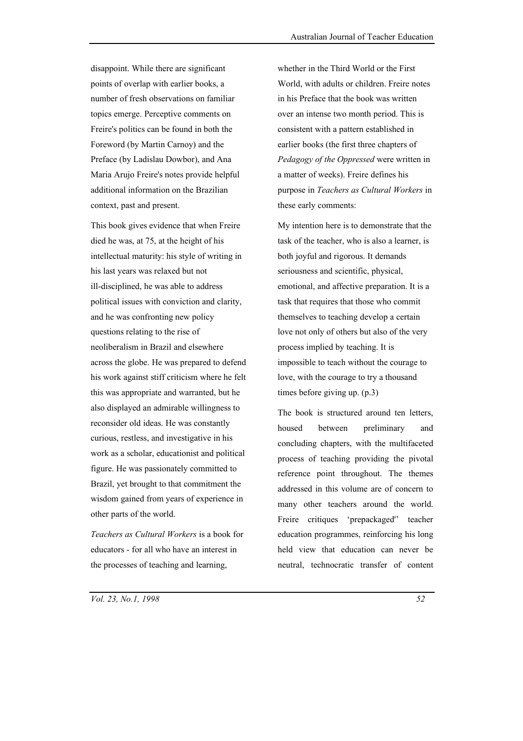disappoint. While there are significant points of overlap with earlier books, a number of fresh observations on familiar topics emerge. Perceptive comments on Freire's politics can be found in both the Foreword (by Martin Carnoy) and the Preface (by Ladislau Dowbor), and Ana Maria Arujo Freire's notes provide helpful additional information on the Brazilian context, past and present.

This book gives evidence that when Freire died he was, at 75, at the height of his intellectual maturity: his style of writing in his last years was relaxed but not ill-disciplined, he was able to address political issues with conviction and clarity, and he was confronting new policy questions relating to the rise of neoliberalism in Brazil and elsewhere across the globe. He was prepared to defend his work against stiff criticism where he felt this was appropriate and warranted, but he also displayed an admirable willingness to reconsider old ideas. He was constantly curious, restless, and investigative in his work as a scholar, educationist and political figure. He was passionately committed to Brazil, yet brought to that commitment the wisdom gained from years of experience in other parts of the world.

*Teachers as Cultural Workers* is a book for educators - for all who have an interest in the processes of teaching and learning,

whether in the Third World or the First World, with adults or children. Freire notes in his Preface that the book was written over an intense two month period. This is consistent with a pattern established in earlier books (the first three chapters of *Pedagogy of the Oppressed* were written in a matter of weeks). Freire defines his purpose in *Teachers as Cultural Workers* in these early comments:

My intention here is to demonstrate that the task of the teacher, who is also a learner, is both joyful and rigorous. It demands seriousness and scientific, physical, emotional, and affective preparation. It is a task that requires that those who commit themselves to teaching develop a certain love not only of others but also of the very process implied by teaching. It is impossible to teach without the courage to love, with the courage to try a thousand times before giving up. (p.3)

The book is structured around ten letters housed between preliminary and concluding chapters, with the multifaceted process of teaching providing the pivotal reference point throughout. The themes addressed in this volume are of concern to many other teachers around the world. Freire critiques 'prepackaged'' teacher education programmes, reinforcing his long held view that education can never be neutral, technocratic transfer of content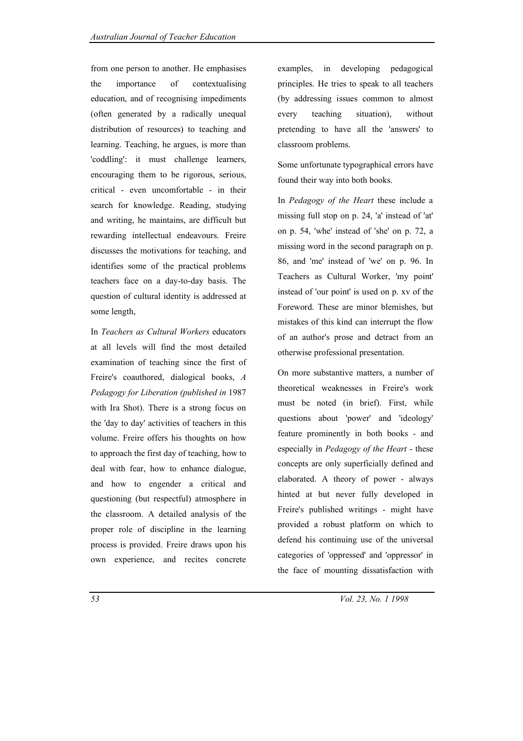from one person to another. He emphasises the importance of contextualising education, and of recognising impediments (often generated by a radically unequal distribution of resources) to teaching and learning. Teaching, he argues, is more than 'coddling': it must challenge learners, encouraging them to be rigorous, serious, critical - even uncomfortable - in their search for knowledge. Reading, studying and writing, he maintains, are difficult but rewarding intellectual endeavours. Freire discusses the motivations for teaching, and identifies some of the practical problems teachers face on a day-to-day basis. The question of cultural identity is addressed at some length,

In *Teachers as Cultural Workers* educators at all levels will find the most detailed examination of teaching since the first of Freire's coauthored, dialogical books, *A Pedagogy for Liberation (published in* 1987 with Ira Shot). There is a strong focus on the 'day to day' activities of teachers in this volume. Freire offers his thoughts on how to approach the first day of teaching, how to deal with fear, how to enhance dialogue, and how to engender a critical and questioning (but respectful) atmosphere in the classroom. A detailed analysis of the proper role of discipline in the learning process is provided. Freire draws upon his own experience, and recites concrete

examples, in developing pedagogical principles. He tries to speak to all teachers (by addressing issues common to almost every teaching situation), without pretending to have all the 'answers' to classroom problems.

Some unfortunate typographical errors have found their way into both books.

In *Pedagogy of the Heart* these include a missing full stop on p. 24, 'a' instead of 'at' on p. 54, 'whe' instead of 'she' on p. 72, a missing word in the second paragraph on p. 86, and 'me' instead of 'we' on p. 96. In Teachers as Cultural Worker, 'my point' instead of 'our point' is used on p. xv of the Foreword. These are minor blemishes, but mistakes of this kind can interrupt the flow of an author's prose and detract from an otherwise professional presentation.

On more substantive matters, a number of theoretical weaknesses in Freire's work must be noted (in brief). First, while questions about 'power' and 'ideology' feature prominently in both books - and especially in *Pedagogy of the Heart* - these concepts are only superficially defined and elaborated. A theory of power - always hinted at but never fully developed in Freire's published writings - might have provided a robust platform on which to defend his continuing use of the universal categories of 'oppressed' and 'oppressor' in the face of mounting dissatisfaction with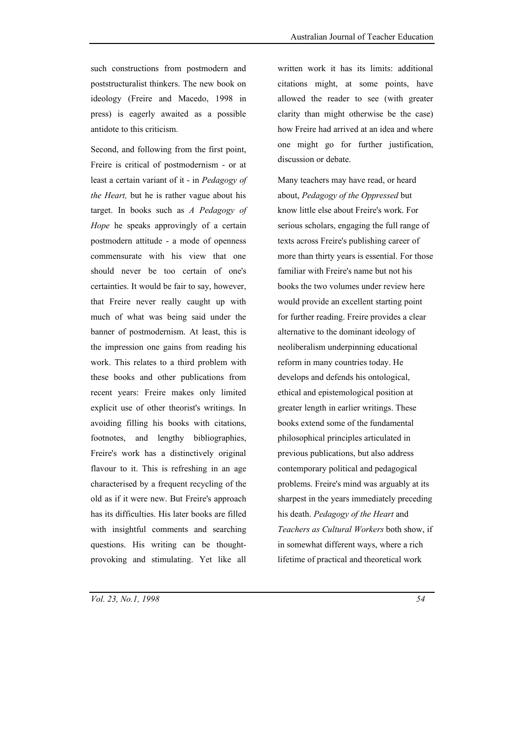such constructions from postmodern and poststructuralist thinkers. The new book on ideology (Freire and Macedo, 1998 in press) is eagerly awaited as a possible antidote to this criticism.

Second, and following from the first point, Freire is critical of postmodernism - or at least a certain variant of it - in *Pedagogy of the Heart,* but he is rather vague about his target. In books such as *A Pedagogy of Hope* he speaks approvingly of a certain postmodern attitude - a mode of openness commensurate with his view that one should never be too certain of one's certainties. It would be fair to say, however, that Freire never really caught up with much of what was being said under the banner of postmodernism. At least, this is the impression one gains from reading his work. This relates to a third problem with these books and other publications from recent years: Freire makes only limited explicit use of other theorist's writings. In avoiding filling his books with citations, footnotes, and lengthy bibliographies, Freire's work has a distinctively original flavour to it. This is refreshing in an age characterised by a frequent recycling of the old as if it were new. But Freire's approach has its difficulties. His later books are filled with insightful comments and searching questions. His writing can be thoughtprovoking and stimulating. Yet like all

written work it has its limits: additional citations might, at some points, have allowed the reader to see (with greater clarity than might otherwise be the case) how Freire had arrived at an idea and where one might go for further justification, discussion or debate.

Many teachers may have read, or heard about, *Pedagogy of the Oppressed* but know little else about Freire's work. For serious scholars, engaging the full range of texts across Freire's publishing career of more than thirty years is essential. For those familiar with Freire's name but not his books the two volumes under review here would provide an excellent starting point for further reading. Freire provides a clear alternative to the dominant ideology of neoliberalism underpinning educational reform in many countries today. He develops and defends his ontological, ethical and epistemological position at greater length in earlier writings. These books extend some of the fundamental philosophical principles articulated in previous publications, but also address contemporary political and pedagogical problems. Freire's mind was arguably at its sharpest in the years immediately preceding his death. *Pedagogy of the Heart* and *Teachers as Cultural Workers* both show, if in somewhat different ways, where a rich lifetime of practical and theoretical work